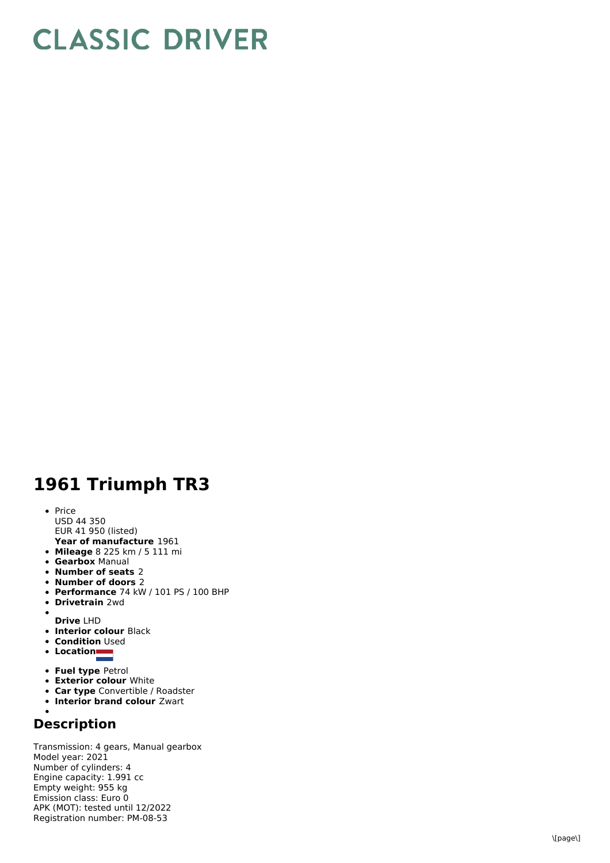## **CLASSIC DRIVER**

## **1 9 6 1 T riu m p h T R 3**

- **Year of manufacture** 1961 P ric e U S D 4 4 3 5 0 EUR 41 950 (listed)
- **Mileage** 8 225 km / 5 111 mi
- **Gearbox** Manual
- **Number of seats** 2
- **Number of doors** 2
- **Performance** 74 kW / 101 PS / 100 BHP
- **D riv e t r ain** 2 w d
- 
- **D riv e** L H D **Interior colour Black**
- **Condition** Used
- **L o c a tio n**
- 
- **Fuel type Petrol Exterior colour White**
- **Car type** Convertible / Roadster
- **Interior brand colour** Zwart
- 

## **D e s c rip tio n**

Transmission: 4 gears, Manual gearbox Model year: 2021 N u m b e r o fc ylin d e r s: 4 Engine capacity: 1.991 cc E m p t y w eig h t: 9 5 5 k g E mis sio n cla s s: E u r o 0 APK (MOT): tested until 12/2022 Registration number: PM-08-53